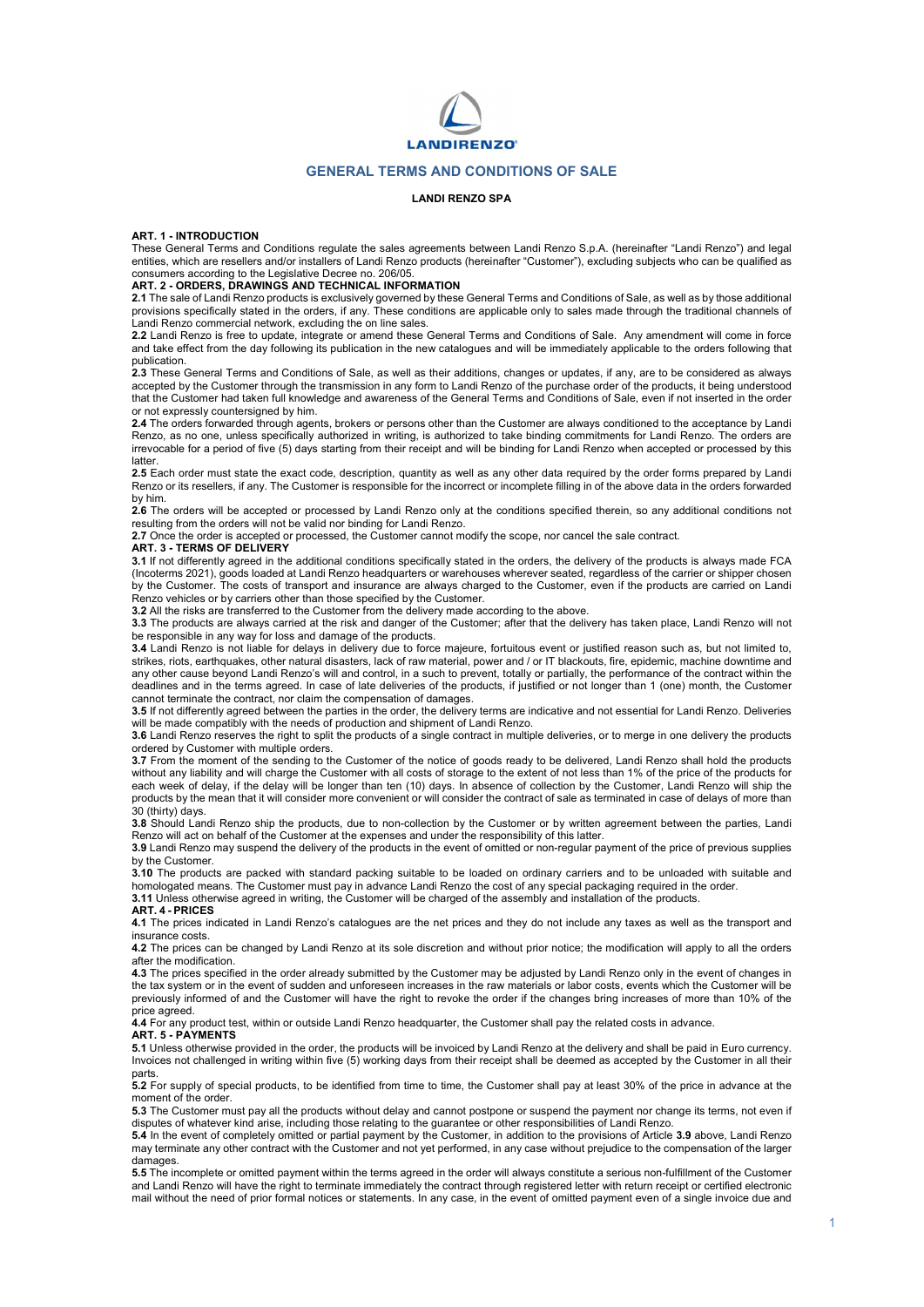

### GENERAL TERMS AND CONDITIONS OF SALE

### LANDI RENZO SPA

#### ART. 1 - INTRODUCTION

These General Terms and Conditions regulate the sales agreements between Landi Renzo S.p.A. (hereinafter "Landi Renzo") and legal entities, which are resellers and/or installers of Landi Renzo products (hereinafter "Customer"), excluding subjects who can be qualified as consumers according to the Legislative Decree no. 206/05.

### ART. 2 - ORDERS, DRAWINGS AND TECHNICAL INFORMATION

2.1 The sale of Landi Renzo products is exclusively governed by these General Terms and Conditions of Sale, as well as by those additional provisions specifically stated in the orders, if any. These conditions are applicable only to sales made through the traditional channels of Landi Renzo commercial network, excluding the on line sales.

2.2 Landi Renzo is free to update, integrate or amend these General Terms and Conditions of Sale. Any amendment will come in force and take effect from the day following its publication in the new catalogues and will be immediately applicable to the orders following that

publication.<br>**2.3** These General Terms and Conditions of Sale, as well as their additions, changes or updates, if any, are to be considered as always accepted by the Customer through the transmission in any form to Landi Renzo of the purchase order of the products, it being understood that the Customer had taken full knowledge and awareness of the General Terms and Conditions of Sale, even if not inserted in the order or not expressly countersigned by him.

2.4 The orders forwarded through agents, brokers or persons other than the Customer are always conditioned to the acceptance by Landi Renzo, as no one, unless specifically authorized in writing, is authorized to take binding commitments for Landi Renzo. The orders are irrevocable for a period of five (5) days starting from their receipt and will be binding for Landi Renzo when accepted or processed by this latter

2.5 Each order must state the exact code, description, quantity as well as any other data required by the order forms prepared by Landi Renzo or its resellers, if any. The Customer is responsible for the incorrect or incomplete filling in of the above data in the orders forwarded by him.

2.6 The orders will be accepted or processed by Landi Renzo only at the conditions specified therein, so any additional conditions not resulting from the orders will not be valid nor binding for Landi Renzo.

2.7 Once the order is accepted or processed, the Customer cannot modify the scope, nor cancel the sale contract.

#### ART. 3 - TERMS OF DELIVERY

3.1 If not differently agreed in the additional conditions specifically stated in the orders, the delivery of the products is always made FCA (Incoterms 2021), goods loaded at Landi Renzo headquarters or warehouses wherever seated, regardless of the carrier or shipper chosen by the Customer. The costs of transport and insurance are always charged to the Customer, even if the products are carried on Landi Renzo vehicles or by carriers other than those specified by the Customer.

3.2 All the risks are transferred to the Customer from the delivery made according to the above.

3.3 The products are always carried at the risk and danger of the Customer; after that the delivery has taken place, Landi Renzo will not be responsible in any way for loss and damage of the products.

3.4 Landi Renzo is not liable for delays in delivery due to force majeure, fortuitous event or justified reason such as, but not limited to, strikes, riots, earthquakes, other natural disasters, lack of raw material, power and / or IT blackouts, fire, epidemic, machine downtime and any other cause beyond Landi Renzo's will and control, in a such to prevent, totally or partially, the performance of the contract within the deadlines and in the terms agreed. In case of late deliveries of the products, if justified or not longer than 1 (one) month, the Customer cannot terminate the contract, nor claim the compensation of damages.

3.5 If not differently agreed between the parties in the order, the delivery terms are indicative and not essential for Landi Renzo. Deliveries will be made compatibly with the needs of production and shipment of Landi Renzo.

3.6 Landi Renzo reserves the right to split the products of a single contract in multiple deliveries, or to merge in one delivery the products ordered by Customer with multiple orders.

3.7 From the moment of the sending to the Customer of the notice of goods ready to be delivered, Landi Renzo shall hold the products without any liability and will charge the Customer with all costs of storage to the extent of not less than 1% of the price of the products for each week of delay, if the delay will be longer than ten (10) days. In absence of collection by the Customer, Landi Renzo will ship the products by the mean that it will consider more convenient or will consider the contract of sale as terminated in case of delays of more than 30 (thirty) days.

3.8 Should Landi Renzo ship the products, due to non-collection by the Customer or by written agreement between the parties, Landi Renzo will act on behalf of the Customer at the expenses and under the responsibility of this latter.

3.9 Landi Renzo may suspend the delivery of the products in the event of omitted or non-regular payment of the price of previous supplies by the Customer.

3.10 The products are packed with standard packing suitable to be loaded on ordinary carriers and to be unloaded with suitable and homologated means. The Customer must pay in advance Landi Renzo the cost of any special packaging required in the order.

3.11 Unless otherwise agreed in writing, the Customer will be charged of the assembly and installation of the products.

# ART. 4 - PRICES

4.1 The prices indicated in Landi Renzo's catalogues are the net prices and they do not include any taxes as well as the transport and insurance costs.

4.2 The prices can be changed by Landi Renzo at its sole discretion and without prior notice; the modification will apply to all the orders after the modification.

**4.3** The prices specified in the order already submitted by the Customer may be adjusted by Landi Renzo only in the event of changes in the tax system or in the event of sudden and unforeseen increases in the raw materials or labor costs, events which the Customer will be previously informed of and the Customer will have the right to revoke the order if the changes bring increases of more than 10% of the price agreed.

4.4 For any product test, within or outside Landi Renzo headquarter, the Customer shall pay the related costs in advance.

#### ART 5 - PAYMENTS

5.1 Unless otherwise provided in the order, the products will be invoiced by Landi Renzo at the delivery and shall be paid in Euro currency. Invoices not challenged in writing within five (5) working days from their receipt shall be deemed as accepted by the Customer in all their parts.

5.2 For supply of special products, to be identified from time to time, the Customer shall pay at least 30% of the price in advance at the moment of the order.

5.3 The Customer must pay all the products without delay and cannot postpone or suspend the payment nor change its terms, not even if disputes of whatever kind arise, including those relating to the guarantee or other responsibilities of Landi Renzo.<br>**5.4** In the event of completely omitted or partial payment by the Customer, in addition to the provision

may terminate any other contract with the Customer and not yet performed, in any case without prejudice to the compensation of the larger damages

5.5 The incomplete or omitted payment within the terms agreed in the order will always constitute a serious non-fulfillment of the Customer and Landi Renzo will have the right to terminate immediately the contract through registered letter with return receipt or certified electronic mail without the need of prior formal notices or statements. In any case, in the event of omitted payment even of a single invoice due and